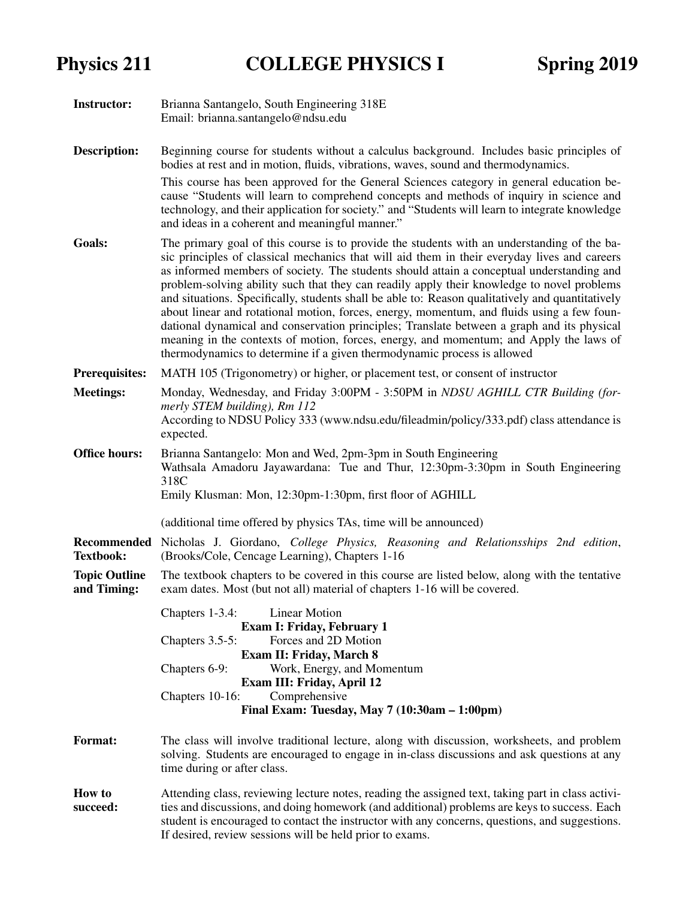| <b>Instructor:</b>                  | Brianna Santangelo, South Engineering 318E<br>Email: brianna.santangelo@ndsu.edu                                                                                                                                                                                                                                                                                                                                                                                                                                                                                                                                                                                                                                                                                                                                                                            |
|-------------------------------------|-------------------------------------------------------------------------------------------------------------------------------------------------------------------------------------------------------------------------------------------------------------------------------------------------------------------------------------------------------------------------------------------------------------------------------------------------------------------------------------------------------------------------------------------------------------------------------------------------------------------------------------------------------------------------------------------------------------------------------------------------------------------------------------------------------------------------------------------------------------|
| <b>Description:</b>                 | Beginning course for students without a calculus background. Includes basic principles of<br>bodies at rest and in motion, fluids, vibrations, waves, sound and thermodynamics.<br>This course has been approved for the General Sciences category in general education be-<br>cause "Students will learn to comprehend concepts and methods of inquiry in science and<br>technology, and their application for society." and "Students will learn to integrate knowledge<br>and ideas in a coherent and meaningful manner."                                                                                                                                                                                                                                                                                                                                |
| Goals:                              | The primary goal of this course is to provide the students with an understanding of the ba-<br>sic principles of classical mechanics that will aid them in their everyday lives and careers<br>as informed members of society. The students should attain a conceptual understanding and<br>problem-solving ability such that they can readily apply their knowledge to novel problems<br>and situations. Specifically, students shall be able to: Reason qualitatively and quantitatively<br>about linear and rotational motion, forces, energy, momentum, and fluids using a few foun-<br>dational dynamical and conservation principles; Translate between a graph and its physical<br>meaning in the contexts of motion, forces, energy, and momentum; and Apply the laws of<br>thermodynamics to determine if a given thermodynamic process is allowed |
| <b>Prerequisites:</b>               | MATH 105 (Trigonometry) or higher, or placement test, or consent of instructor                                                                                                                                                                                                                                                                                                                                                                                                                                                                                                                                                                                                                                                                                                                                                                              |
| <b>Meetings:</b>                    | Monday, Wednesday, and Friday 3:00PM - 3:50PM in NDSU AGHILL CTR Building (for-<br>merly STEM building), Rm 112<br>According to NDSU Policy 333 (www.ndsu.edu/fileadmin/policy/333.pdf) class attendance is<br>expected.                                                                                                                                                                                                                                                                                                                                                                                                                                                                                                                                                                                                                                    |
| <b>Office hours:</b>                | Brianna Santangelo: Mon and Wed, 2pm-3pm in South Engineering<br>Wathsala Amadoru Jayawardana: Tue and Thur, 12:30pm-3:30pm in South Engineering<br>318C<br>Emily Klusman: Mon, 12:30pm-1:30pm, first floor of AGHILL                                                                                                                                                                                                                                                                                                                                                                                                                                                                                                                                                                                                                                       |
|                                     | (additional time offered by physics TAs, time will be announced)                                                                                                                                                                                                                                                                                                                                                                                                                                                                                                                                                                                                                                                                                                                                                                                            |
| <b>Textbook:</b>                    | Recommended Nicholas J. Giordano, College Physics, Reasoning and Relationsships 2nd edition,<br>(Brooks/Cole, Cencage Learning), Chapters 1-16                                                                                                                                                                                                                                                                                                                                                                                                                                                                                                                                                                                                                                                                                                              |
| <b>Topic Outline</b><br>and Timing: | The textbook chapters to be covered in this course are listed below, along with the tentative<br>exam dates. Most (but not all) material of chapters 1-16 will be covered.                                                                                                                                                                                                                                                                                                                                                                                                                                                                                                                                                                                                                                                                                  |
|                                     | <b>Linear Motion</b><br>Chapters 1-3.4:<br><b>Exam I: Friday, February 1</b><br>Forces and 2D Motion<br>Chapters $3.5-5$ :<br><b>Exam II: Friday, March 8</b><br>Work, Energy, and Momentum<br>Chapters 6-9:<br>Exam III: Friday, April 12<br>Comprehensive<br>Chapters 10-16:<br>Final Exam: Tuesday, May $7(10:30am - 1:00pm)$                                                                                                                                                                                                                                                                                                                                                                                                                                                                                                                            |
| <b>Format:</b>                      | The class will involve traditional lecture, along with discussion, worksheets, and problem<br>solving. Students are encouraged to engage in in-class discussions and ask questions at any<br>time during or after class.                                                                                                                                                                                                                                                                                                                                                                                                                                                                                                                                                                                                                                    |
| <b>How to</b><br>succeed:           | Attending class, reviewing lecture notes, reading the assigned text, taking part in class activi-<br>ties and discussions, and doing homework (and additional) problems are keys to success. Each<br>student is encouraged to contact the instructor with any concerns, questions, and suggestions.<br>If desired, review sessions will be held prior to exams.                                                                                                                                                                                                                                                                                                                                                                                                                                                                                             |